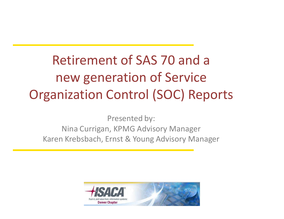### Retirement of SAS 70 and a new generation of Service Organization Control (SOC) Reports

Presented by: Nina Currigan, KPMG Advisory Manager Karen Krebsbach, Ernst & Young Advisory Manager

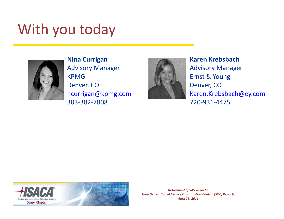### With you today



**Nina Currigan** Advisory Manager KPMG Denver, CO [ncurrigan@kpmg.com](mailto:ncurrigan@kpmg.com) 303-382-7808



#### **Karen Krebsbach**

Advisory Manager Ernst & Young Denver, CO [Karen.Krebsbach@ey.com](mailto:Karen.Krebsbach@ey.com) 720-931-4475

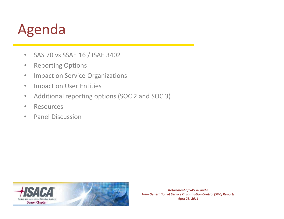## Agenda

- SAS 70 vs SSAE 16 / ISAE 3402
- Reporting Options
- Impact on Service Organizations
- Impact on User Entities
- Additional reporting options (SOC 2 and SOC 3)
- Resources
- Panel Discussion

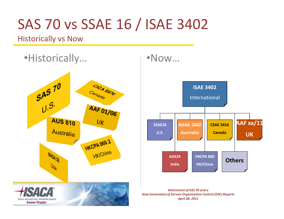### SAS 70 vs SSAE 16 / ISAE 3402

Historically vs Now



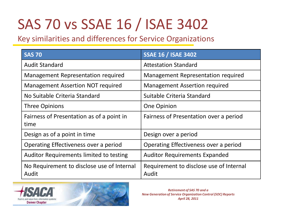## SAS 70 vs SSAE 16 / ISAE 3402

Key similarities and differences for Service Organizations

| <b>SAS 70</b>                                       | <b>SSAE 16 / ISAE 3402</b>                       |
|-----------------------------------------------------|--------------------------------------------------|
| <b>Audit Standard</b>                               | <b>Attestation Standard</b>                      |
| Management Representation required                  | Management Representation required               |
| <b>Management Assertion NOT required</b>            | <b>Management Assertion required</b>             |
| No Suitable Criteria Standard                       | Suitable Criteria Standard                       |
| <b>Three Opinions</b>                               | One Opinion                                      |
| Fairness of Presentation as of a point in<br>time   | Fairness of Presentation over a period           |
| Design as of a point in time                        | Design over a period                             |
| Operating Effectiveness over a period               | Operating Effectiveness over a period            |
| Auditor Requirements limited to testing             | <b>Auditor Requirements Expanded</b>             |
| No Requirement to disclose use of Internal<br>Audit | Requirement to disclose use of Internal<br>Audit |

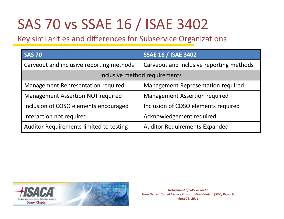## SAS 70 vs SSAE 16 / ISAE 3402

Key similarities and differences for Subservice Organizations

| <b>SAS 70</b>                            | <b>SSAE 16 / ISAE 3402</b>               |  |
|------------------------------------------|------------------------------------------|--|
| Carveout and inclusive reporting methods | Carveout and inclusive reporting methods |  |
| Inclusive method requirements            |                                          |  |
| Management Representation required       | Management Representation required       |  |
| <b>Management Assertion NOT required</b> | <b>Management Assertion required</b>     |  |
| Inclusion of COSO elements encouraged    | Inclusion of COSO elements required      |  |
| Interaction not required                 | Acknowledgement required                 |  |
| Auditor Requirements limited to testing  | <b>Auditor Requirements Expanded</b>     |  |

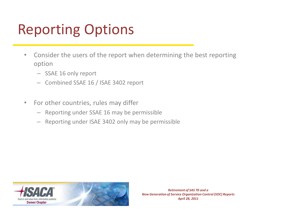## Reporting Options

- Consider the users of the report when determining the best reporting option
	- SSAE 16 only report
	- Combined SSAE 16 / ISAE 3402 report
- For other countries, rules may differ
	- Reporting under SSAE 16 may be permissible
	- Reporting under ISAE 3402 only may be permissible

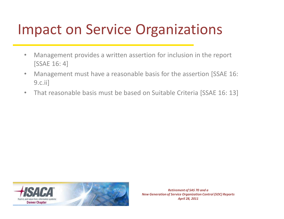- Management provides a written assertion for inclusion in the report [SSAE 16: 4]
- Management must have a reasonable basis for the assertion [SSAE 16: 9.c.ii]
- That reasonable basis must be based on Suitable Criteria [SSAE 16: 13]

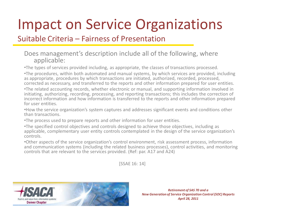#### Suitable Criteria – Fairness of Presentation

#### Does management's description include all of the following, where applicable:

•The types of services provided including, as appropriate, the classes of transactions processed.

•The procedures, within both automated and manual systems, by which services are provided, including as appropriate, procedures by which transactions are initiated, authorized, recorded, processed, corrected as necessary, and transferred to the reports and other information prepared for user entities.

•The related accounting records, whether electronic or manual, and supporting information involved in initiating, authorizing, recording, processing, and reporting transactions; this includes the correction of incorrect information and how information is transferred to the reports and other information prepared for user entities.

•How the service organization's system captures and addresses significant events and conditions other than transactions.

•The process used to prepare reports and other information for user entities.

•The specified control objectives and controls designed to achieve those objectives, including as applicable, complementary user entity controls contemplated in the design of the service organization's controls.

•Other aspects of the service organization's control environment, risk assessment process, information and communication systems (including the related business processes), control activities, and monitoring controls that are relevant to the services provided. (Ref: par. A17 and A24)

[SSAE 16: 14]

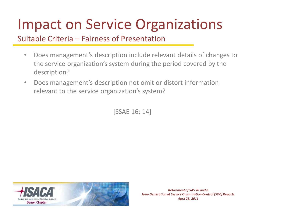#### Suitable Criteria – Fairness of Presentation

- Does management's description include relevant details of changes to the service organization's system during the period covered by the description?
- Does management's description not omit or distort information relevant to the service organization's system?

[SSAE 16: 14]

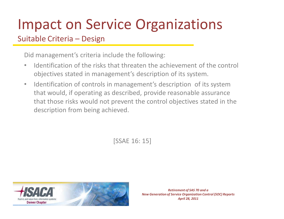Suitable Criteria – Design

Did management's criteria include the following:

- Identification of the risks that threaten the achievement of the control objectives stated in management's description of its system.
- Identification of controls in management's description of its system that would, if operating as described, provide reasonable assurance that those risks would not prevent the control objectives stated in the description from being achieved.

[SSAE 16: 15]

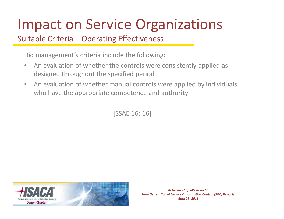### Suitable Criteria – Operating Effectiveness

Did management's criteria include the following:

- An evaluation of whether the controls were consistently applied as designed throughout the specified period
- An evaluation of whether manual controls were applied by individuals who have the appropriate competence and authority

[SSAE 16: 16]

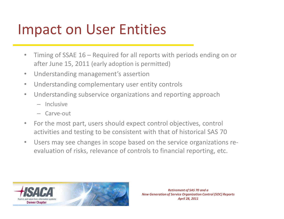### Impact on User Entities

- Timing of SSAE 16 Required for all reports with periods ending on or after June 15, 2011 (early adoption is permitted)
- Understanding management's assertion
- Understanding complementary user entity controls
- Understanding subservice organizations and reporting approach
	- Inclusive
	- Carve-out
- For the most part, users should expect control objectives, control activities and testing to be consistent with that of historical SAS 70
- Users may see changes in scope based on the service organizations reevaluation of risks, relevance of controls to financial reporting, etc.

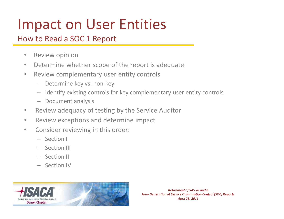## Impact on User Entities

#### How to Read a SOC 1 Report

- Review opinion
- Determine whether scope of the report is adequate
- Review complementary user entity controls
	- Determine key vs. non-key
	- Identify existing controls for key complementary user entity controls
	- Document analysis
- Review adequacy of testing by the Service Auditor
- Review exceptions and determine impact
- Consider reviewing in this order:
	- Section I
	- Section III
	- Section II
	- Section IV

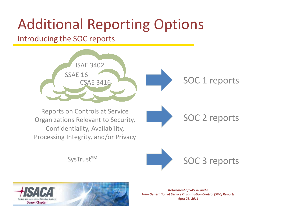#### Introducing the SOC reports

and value from information sys-**Denver Chapter** 



*April 28, 2011*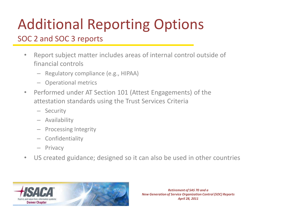### SOC 2 and SOC 3 reports

- Report subject matter includes areas of internal control outside of financial controls
	- Regulatory compliance (e.g., HIPAA)
	- Operational metrics
- Performed under AT Section 101 (Attest Engagements) of the attestation standards using the Trust Services Criteria
	- Security
	- Availability
	- Processing Integrity
	- Confidentiality
	- Privacy
- US created guidance; designed so it can also be used in other countries

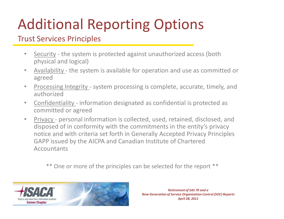#### Trust Services Principles

- Security the system is protected against unauthorized access (both physical and logical)
- Availability the system is available for operation and use as committed or agreed
- Processing Integrity system processing is complete, accurate, timely, and authorized
- Confidentiality information designated as confidential is protected as committed or agreed
- Privacy personal information is collected, used, retained, disclosed, and disposed of in conformity with the commitments in the entity's privacy notice and with criteria set forth in Generally Accepted Privacy Principles GAPP issued by the AICPA and Canadian Institute of Chartered **Accountants**

\*\* One or more of the principles can be selected for the report \*\*

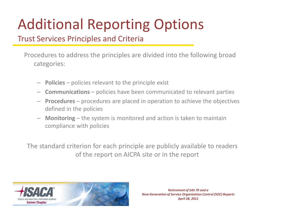#### Trust Services Principles and Criteria

Procedures to address the principles are divided into the following broad categories:

- **Policies**  policies relevant to the principle exist
- **Communications**  policies have been communicated to relevant parties
- **Procedures**  procedures are placed in operation to achieve the objectives defined in the policies
- **Monitoring**  the system is monitored and action is taken to maintain compliance with policies

The standard criterion for each principle are publicly available to readers of the report on AICPA site or in the report

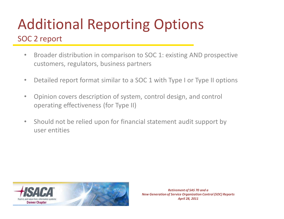### SOC 2 report

- Broader distribution in comparison to SOC 1: existing AND prospective customers, regulators, business partners
- Detailed report format similar to a SOC 1 with Type I or Type II options
- Opinion covers description of system, control design, and control operating effectiveness (for Type II)
- Should not be relied upon for financial statement audit support by user entities

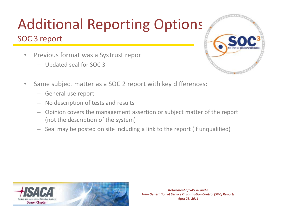### SOC 3 report

- Previous format was a SysTrust report
	- Updated seal for SOC 3



- Same subject matter as a SOC 2 report with key differences:
	- General use report
	- No description of tests and results
	- Opinion covers the management assertion or subject matter of the report (not the description of the system)
	- Seal may be posted on site including a link to the report (if unqualified)

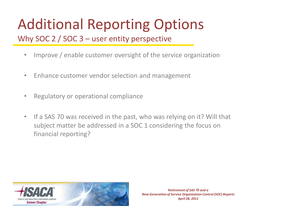Why SOC 2 / SOC 3 – user entity perspective

- Improve / enable customer oversight of the service organization
- Enhance customer vendor selection and management
- Regulatory or operational compliance
- If a SAS 70 was received in the past, who was relying on it? Will that subject matter be addressed in a SOC 1 considering the focus on financial reporting?

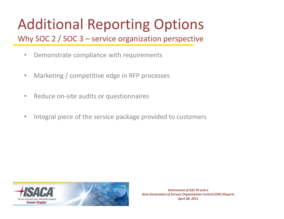Why SOC 2 / SOC 3 – service organization perspective

- Demonstrate compliance with requirements
- Marketing / competitive edge in RFP processes
- Reduce on-site audits or questionnaires
- Integral piece of the service package provided to customers

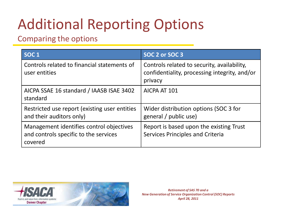### Comparing the options

| SOC <sub>1</sub>                                                                             | SOC 2 or SOC 3                                                                                          |
|----------------------------------------------------------------------------------------------|---------------------------------------------------------------------------------------------------------|
| Controls related to financial statements of<br>user entities                                 | Controls related to security, availability,<br>confidentiality, processing integrity, and/or<br>privacy |
| AICPA SSAE 16 standard / IAASB ISAE 3402<br>standard                                         | AICPA AT 101                                                                                            |
| Restricted use report (existing user entities<br>and their auditors only)                    | Wider distribution options (SOC 3 for<br>general / public use)                                          |
| Management identifies control objectives<br>and controls specific to the services<br>covered | Report is based upon the existing Trust<br><b>Services Principles and Criteria</b>                      |